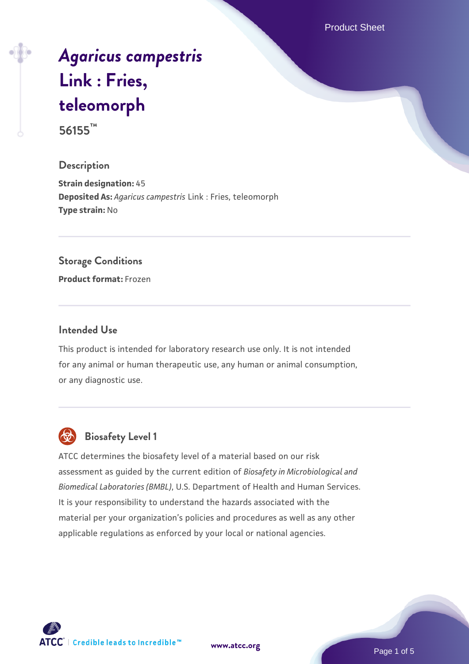Product Sheet

# *[Agaricus campestris](https://www.atcc.org/products/56155)* **[Link : Fries,](https://www.atcc.org/products/56155) [teleomorph](https://www.atcc.org/products/56155)**

**56155™**

## **Description**

**Strain designation:** 45 **Deposited As:** *Agaricus campestris* Link : Fries, teleomorph **Type strain:** No

#### **Storage Conditions**

**Product format:** Frozen

### **Intended Use**

This product is intended for laboratory research use only. It is not intended for any animal or human therapeutic use, any human or animal consumption, or any diagnostic use.



# **Biosafety Level 1**

ATCC determines the biosafety level of a material based on our risk assessment as guided by the current edition of *Biosafety in Microbiological and Biomedical Laboratories (BMBL)*, U.S. Department of Health and Human Services. It is your responsibility to understand the hazards associated with the material per your organization's policies and procedures as well as any other applicable regulations as enforced by your local or national agencies.

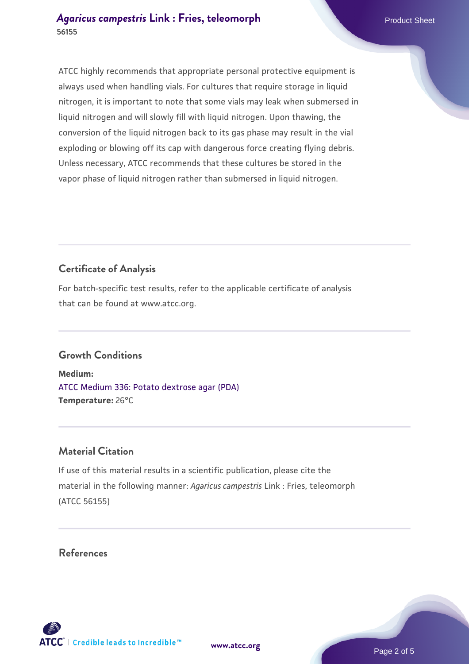### *[Agaricus campestris](https://www.atcc.org/products/56155)* [Link : Fries, teleomorph](https://www.atcc.org/products/56155) Product Sheet **56155**

ATCC highly recommends that appropriate personal protective equipment is always used when handling vials. For cultures that require storage in liquid nitrogen, it is important to note that some vials may leak when submersed in liquid nitrogen and will slowly fill with liquid nitrogen. Upon thawing, the conversion of the liquid nitrogen back to its gas phase may result in the vial exploding or blowing off its cap with dangerous force creating flying debris. Unless necessary, ATCC recommends that these cultures be stored in the vapor phase of liquid nitrogen rather than submersed in liquid nitrogen.

# **Certificate of Analysis**

For batch-specific test results, refer to the applicable certificate of analysis that can be found at www.atcc.org.

# **Growth Conditions**

**Medium:**  [ATCC Medium 336: Potato dextrose agar \(PDA\)](https://www.atcc.org/-/media/product-assets/documents/microbial-media-formulations/3/3/6/atcc-medium-336.pdf?rev=d9160ad44d934cd8b65175461abbf3b9) **Temperature:** 26°C

# **Material Citation**

If use of this material results in a scientific publication, please cite the material in the following manner: *Agaricus campestris* Link : Fries, teleomorph (ATCC 56155)

### **References**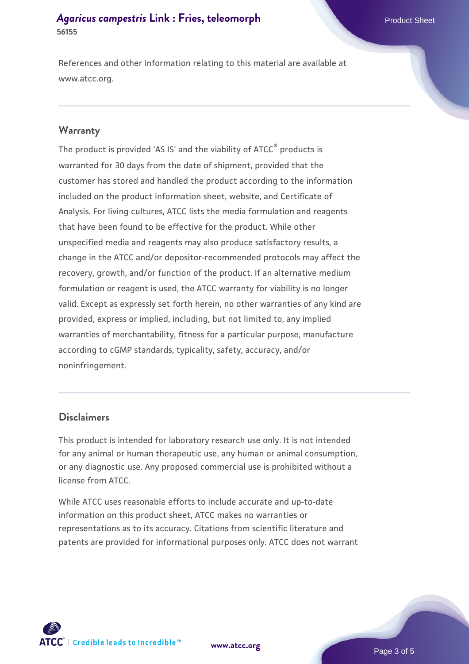#### *[Agaricus campestris](https://www.atcc.org/products/56155)* [Link : Fries, teleomorph](https://www.atcc.org/products/56155) Product Sheet **56155**

References and other information relating to this material are available at www.atcc.org.

#### **Warranty**

The product is provided 'AS IS' and the viability of ATCC® products is warranted for 30 days from the date of shipment, provided that the customer has stored and handled the product according to the information included on the product information sheet, website, and Certificate of Analysis. For living cultures, ATCC lists the media formulation and reagents that have been found to be effective for the product. While other unspecified media and reagents may also produce satisfactory results, a change in the ATCC and/or depositor-recommended protocols may affect the recovery, growth, and/or function of the product. If an alternative medium formulation or reagent is used, the ATCC warranty for viability is no longer valid. Except as expressly set forth herein, no other warranties of any kind are provided, express or implied, including, but not limited to, any implied warranties of merchantability, fitness for a particular purpose, manufacture according to cGMP standards, typicality, safety, accuracy, and/or noninfringement.

#### **Disclaimers**

This product is intended for laboratory research use only. It is not intended for any animal or human therapeutic use, any human or animal consumption, or any diagnostic use. Any proposed commercial use is prohibited without a license from ATCC.

While ATCC uses reasonable efforts to include accurate and up-to-date information on this product sheet, ATCC makes no warranties or representations as to its accuracy. Citations from scientific literature and patents are provided for informational purposes only. ATCC does not warrant



**[www.atcc.org](http://www.atcc.org)**

Page 3 of 5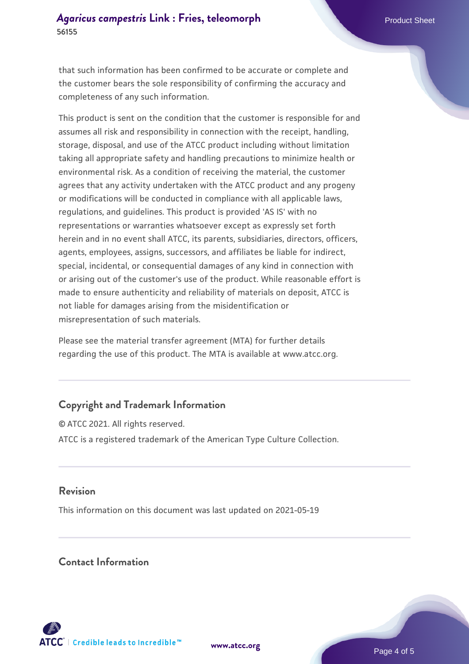that such information has been confirmed to be accurate or complete and the customer bears the sole responsibility of confirming the accuracy and completeness of any such information.

This product is sent on the condition that the customer is responsible for and assumes all risk and responsibility in connection with the receipt, handling, storage, disposal, and use of the ATCC product including without limitation taking all appropriate safety and handling precautions to minimize health or environmental risk. As a condition of receiving the material, the customer agrees that any activity undertaken with the ATCC product and any progeny or modifications will be conducted in compliance with all applicable laws, regulations, and guidelines. This product is provided 'AS IS' with no representations or warranties whatsoever except as expressly set forth herein and in no event shall ATCC, its parents, subsidiaries, directors, officers, agents, employees, assigns, successors, and affiliates be liable for indirect, special, incidental, or consequential damages of any kind in connection with or arising out of the customer's use of the product. While reasonable effort is made to ensure authenticity and reliability of materials on deposit, ATCC is not liable for damages arising from the misidentification or misrepresentation of such materials.

Please see the material transfer agreement (MTA) for further details regarding the use of this product. The MTA is available at www.atcc.org.

# **Copyright and Trademark Information**

© ATCC 2021. All rights reserved. ATCC is a registered trademark of the American Type Culture Collection.

### **Revision**

This information on this document was last updated on 2021-05-19

### **Contact Information**



**[www.atcc.org](http://www.atcc.org)**